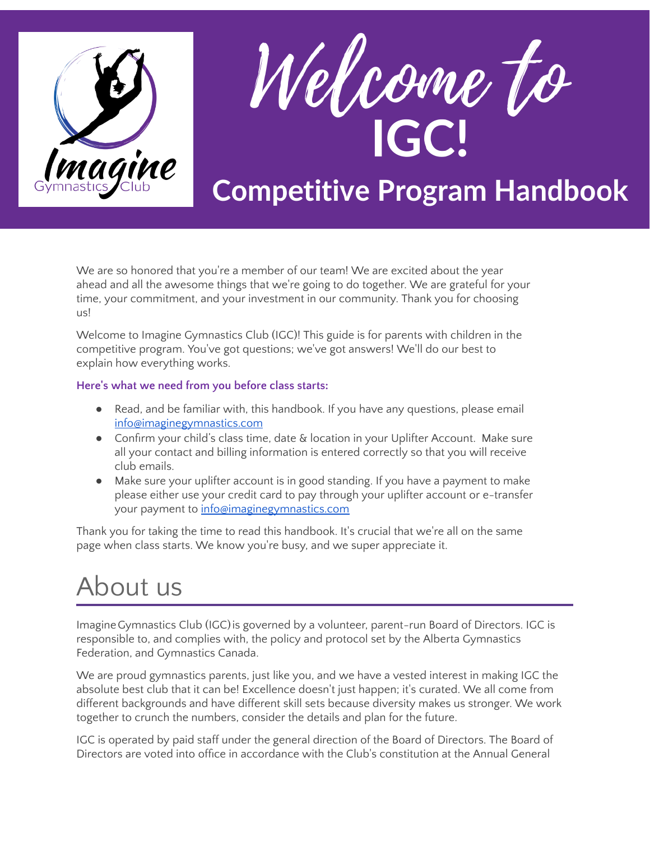



## **Competitive Program Handbook**

We are so honored that you're a member of our team! We are excited about the year ahead and all the awesome things that we're going to do together. We are grateful for your time, your commitment, and your investment in our community. Thank you for choosing us!

Welcome to Imagine Gymnastics Club (IGC)! This guide is for parents with children in the competitive program. You've got questions; we've got answers! We'll do our best to explain how everything works.

#### **Here's what we need from you before class starts:**

- Read, and be familiar with, this handbook. If you have any questions, please email [info@imaginegymnastics.com](mailto:info@imaginegymnastics.com)
- Confirm your child's class time, date & location in your Uplifter Account. Make sure all your contact and billing information is entered correctly so that you will receive club emails.
- Make sure your uplifter account is in good standing. If you have a payment to make please either use your credit card to pay through your uplifter account or e-transfer your payment to [info@imaginegymnastics.com](mailto:info@imaginegymnastics.com)

Thank you for taking the time to read this handbook. It's crucial that we're all on the same page when class starts. We know you're busy, and we super appreciate it.

## About us

ImagineGymnastics Club (IGC)is governed by a volunteer, parent-run Board of Directors. IGC is responsible to, and complies with, the policy and protocol set by the Alberta Gymnastics Federation, and Gymnastics Canada.

We are proud gymnastics parents, just like you, and we have a vested interest in making IGC the absolute best club that it can be! Excellence doesn't just happen; it's curated. We all come from different backgrounds and have different skill sets because diversity makes us stronger. We work together to crunch the numbers, consider the details and plan for the future.

IGC is operated by paid staff under the general direction of the Board of Directors. The Board of Directors are voted into office in accordance with the Club's constitution at the Annual General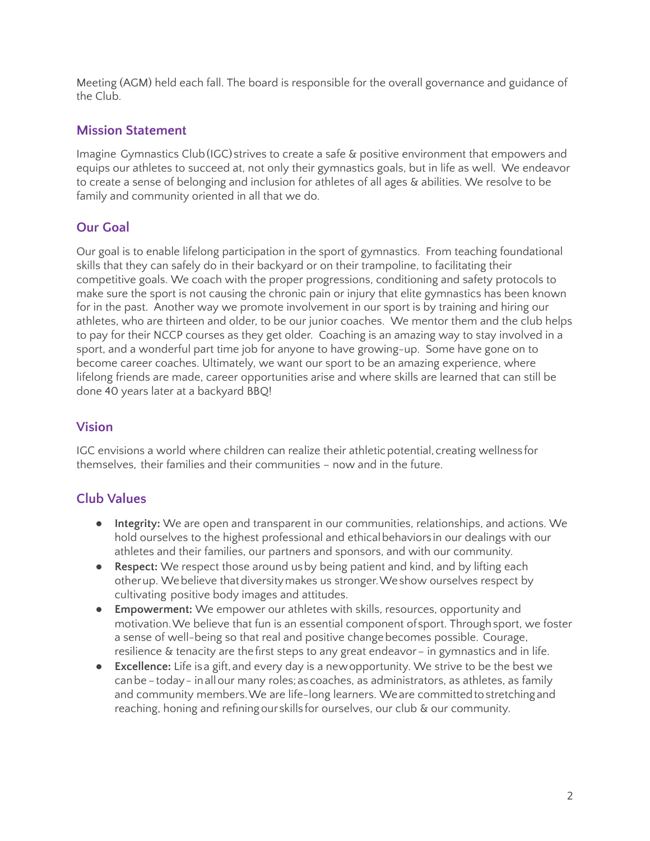Meeting (AGM) held each fall. The board is responsible for the overall governance and guidance of the Club.

## **Mission Statement**

Imagine Gymnastics Club(IGC) strives to create a safe & positive environment that empowers and equips our athletes to succeed at, not only their gymnastics goals, but in life as well. We endeavor to create a sense of belonging and inclusion for athletes of all ages & abilities. We resolve to be family and community oriented in all that we do.

## **Our Goal**

Our goal is to enable lifelong participation in the sport of gymnastics. From teaching foundational skills that they can safely do in their backyard or on their trampoline, to facilitating their competitive goals. We coach with the proper progressions, conditioning and safety protocols to make sure the sport is not causing the chronic pain or injury that elite gymnastics has been known for in the past. Another way we promote involvement in our sport is by training and hiring our athletes, who are thirteen and older, to be our junior coaches. We mentor them and the club helps to pay for their NCCP courses as they get older. Coaching is an amazing way to stay involved in a sport, and a wonderful part time job for anyone to have growing-up. Some have gone on to become career coaches. Ultimately, we want our sport to be an amazing experience, where lifelong friends are made, career opportunities arise and where skills are learned that can still be done 40 years later at a backyard BBQ!

## **Vision**

IGC envisions a world where children can realize their athleticpotential,creating wellness for themselves, their families and their communities – now and in the future.

## **Club Values**

- **Integrity:** We are open and transparent in our communities, relationships, and actions. We hold ourselves to the highest professional and ethicalbehaviors in our dealings with our athletes and their families, our partners and sponsors, and with our community.
- **Respect:** We respect those around usby being patient and kind, and by lifting each otherup. Webelieve thatdiversitymakes us stronger.Weshow ourselves respect by cultivating positive body images and attitudes.
- **Empowerment:** We empower our athletes with skills, resources, opportunity and motivation.We believe that fun is an essential component ofsport. Throughsport, we foster a sense of well-being so that real and positive change becomes possible. Courage, resilience & tenacity are thefirst steps to any great endeavor– in gymnastics and in life.
- **Excellence:** Life isa gift,and every day is a newopportunity. We strive to be the best we canbe–today- inallour many roles;ascoaches, as administrators, as athletes, as family and community members.We are life-long learners. Weare committedtostretchingand reaching, honing and refiningourskills for ourselves, our club & our community.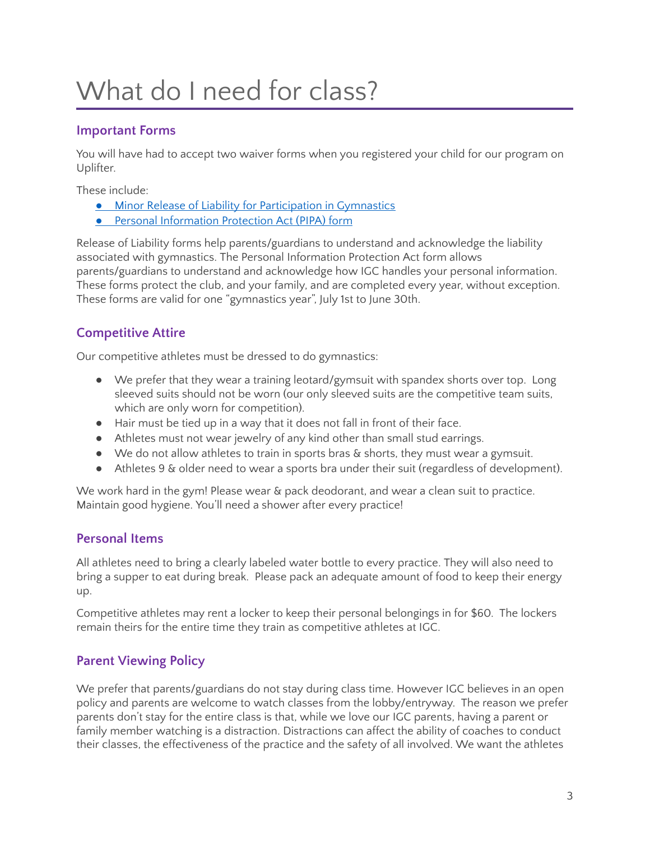# What do I need for class?

## **Important Forms**

You will have had to accept two waiver forms when you registered your child for our program on Uplifter.

These include:

- **Minor Release of Liability for [Participation](https://form.jotform.com/oldsgymnastics/minor-release-of-liability-for-part) in Gymnastics**
- Personal [Information](https://form.jotform.com/oldsgymnastics/personal-information-protection-act) Protection Act (PIPA) form

Release of Liability forms help parents/guardians to understand and acknowledge the liability associated with gymnastics. The Personal Information Protection Act form allows parents/guardians to understand and acknowledge how IGC handles your personal information. These forms protect the club, and your family, and are completed every year, without exception. These forms are valid for one "gymnastics year", July 1st to June 30th.

## **Competitive Attire**

Our competitive athletes must be dressed to do gymnastics:

- We prefer that they wear a training leotard/gymsuit with spandex shorts over top. Long sleeved suits should not be worn (our only sleeved suits are the competitive team suits, which are only worn for competition).
- Hair must be tied up in a way that it does not fall in front of their face.
- Athletes must not wear jewelry of any kind other than small stud earrings.
- We do not allow athletes to train in sports bras & shorts, they must wear a gymsuit.
- Athletes 9 & older need to wear a sports bra under their suit (regardless of development).

We work hard in the gym! Please wear & pack deodorant, and wear a clean suit to practice. Maintain good hygiene. You'll need a shower after every practice!

## **Personal Items**

All athletes need to bring a clearly labeled water bottle to every practice. They will also need to bring a supper to eat during break. Please pack an adequate amount of food to keep their energy up.

Competitive athletes may rent a locker to keep their personal belongings in for \$60. The lockers remain theirs for the entire time they train as competitive athletes at IGC.

## **Parent Viewing Policy**

We prefer that parents/guardians do not stay during class time. However IGC believes in an open policy and parents are welcome to watch classes from the lobby/entryway. The reason we prefer parents don't stay for the entire class is that, while we love our IGC parents, having a parent or family member watching is a distraction. Distractions can affect the ability of coaches to conduct their classes, the effectiveness of the practice and the safety of all involved. We want the athletes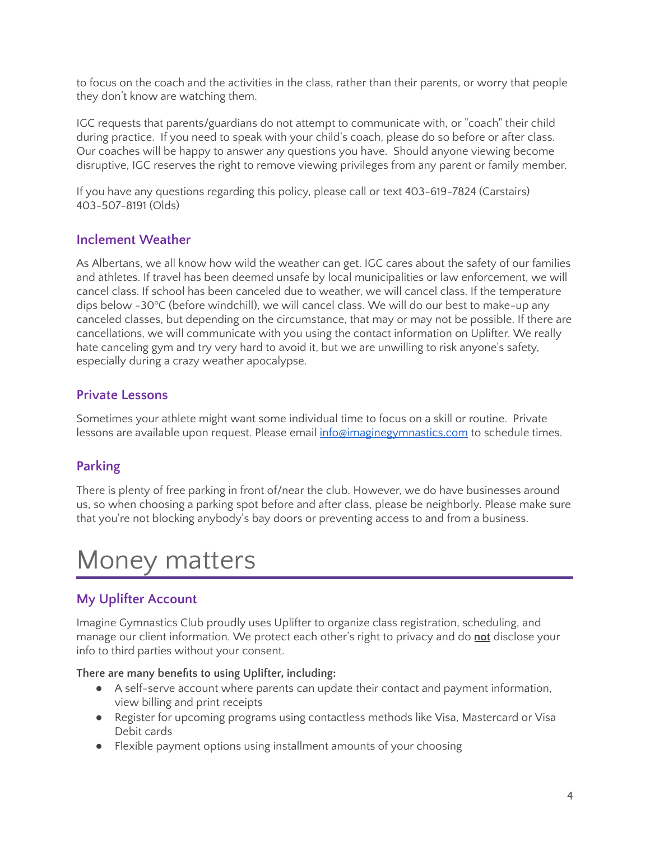to focus on the coach and the activities in the class, rather than their parents, or worry that people they don't know are watching them.

IGC requests that parents/guardians do not attempt to communicate with, or "coach" their child during practice. If you need to speak with your child's coach, please do so before or after class. Our coaches will be happy to answer any questions you have. Should anyone viewing become disruptive, IGC reserves the right to remove viewing privileges from any parent or family member.

If you have any questions regarding this policy, please call or text 403-619-7824 (Carstairs) 403-507-8191 (Olds)

## **Inclement Weather**

As Albertans, we all know how wild the weather can get. IGC cares about the safety of our families and athletes. If travel has been deemed unsafe by local municipalities or law enforcement, we will cancel class. If school has been canceled due to weather, we will cancel class. If the temperature dips below -30°C (before windchill), we will cancel class. We will do our best to make-up any canceled classes, but depending on the circumstance, that may or may not be possible. If there are cancellations, we will communicate with you using the contact information on Uplifter. We really hate canceling gym and try very hard to avoid it, but we are unwilling to risk anyone's safety, especially during a crazy weather apocalypse.

## **Private Lessons**

Sometimes your athlete might want some individual time to focus on a skill or routine. Private lessons are available upon request. Please email [info@imaginegymnastics.com](mailto:info@imaginegymnastics.com) to schedule times.

## **Parking**

There is plenty of free parking in front of/near the club. However, we do have businesses around us, so when choosing a parking spot before and after class, please be neighborly. Please make sure that you're not blocking anybody's bay doors or preventing access to and from a business.

## Money matters

## **My Uplifter Account**

Imagine Gymnastics Club proudly uses Uplifter to organize class registration, scheduling, and manage our client information. We protect each other's right to privacy and do **not** disclose your info to third parties without your consent.

#### **There are many benefits to using Uplifter, including:**

- A self-serve account where parents can update their contact and payment information, view billing and print receipts
- Register for upcoming programs using contactless methods like Visa, Mastercard or Visa Debit cards
- Flexible payment options using installment amounts of your choosing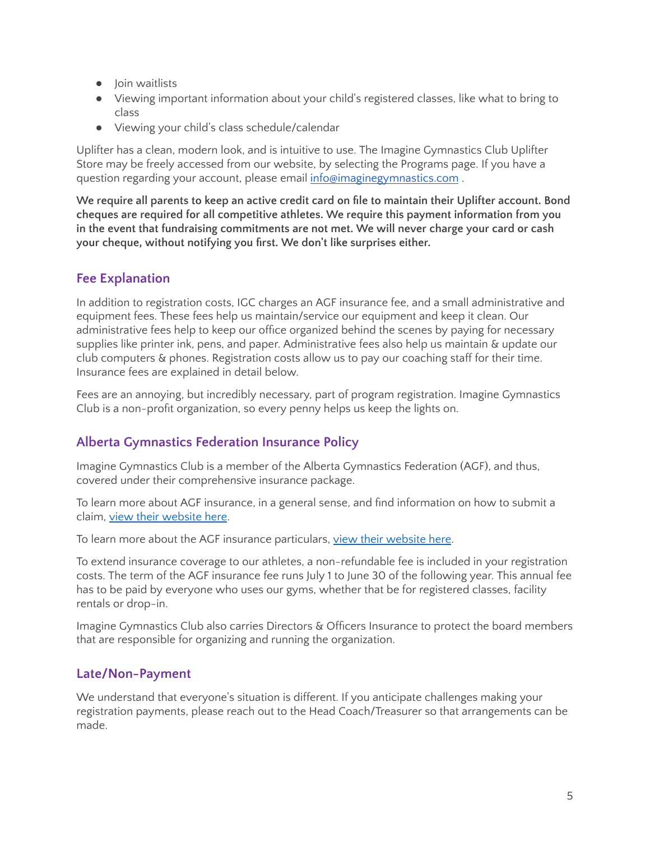- **Join waitlists**
- Viewing important information about your child's registered classes, like what to bring to class
- Viewing your child's class schedule/calendar

Uplifter has a clean, modern look, and is intuitive to use. The Imagine Gymnastics Club Uplifter Store may be freely accessed from our website, by selecting the Programs page. If you have a question regarding your account, please email [info@imaginegymnastics.com](mailto:info@imaginegymnastics.com) .

**We require all parents to keep an active credit card on file to maintain their Uplifter account. Bond cheques are required for all competitive athletes. We require this payment information from you in the event that fundraising commitments are not met. We will never charge your card or cash your cheque, without notifying you first. We don't like surprises either.**

## **Fee Explanation**

In addition to registration costs, IGC charges an AGF insurance fee, and a small administrative and equipment fees. These fees help us maintain/service our equipment and keep it clean. Our administrative fees help to keep our office organized behind the scenes by paying for necessary supplies like printer ink, pens, and paper. Administrative fees also help us maintain & update our club computers & phones. Registration costs allow us to pay our coaching staff for their time. Insurance fees are explained in detail below.

Fees are an annoying, but incredibly necessary, part of program registration. Imagine Gymnastics Club is a non-profit organization, so every penny helps us keep the lights on.

## **Alberta Gymnastics Federation Insurance Policy**

Imagine Gymnastics Club is a member of the Alberta Gymnastics Federation (AGF), and thus, covered under their comprehensive insurance package.

To learn more about AGF insurance, in a general sense, and find information on how to submit a claim, view their [website](https://www.abgym.ab.ca/Membership/AGF-Insurance) here.

To learn more about the AGF insurance particulars, view their [website](https://abgym.ab.ca/Membership/Insurance-Coverage) here.

To extend insurance coverage to our athletes, a non-refundable fee is included in your registration costs. The term of the AGF insurance fee runs July 1 to June 30 of the following year. This annual fee has to be paid by everyone who uses our gyms, whether that be for registered classes, facility rentals or drop-in.

Imagine Gymnastics Club also carries Directors & Officers Insurance to protect the board members that are responsible for organizing and running the organization.

## **Late/Non-Payment**

We understand that everyone's situation is different. If you anticipate challenges making your registration payments, please reach out to the Head Coach/Treasurer so that arrangements can be made.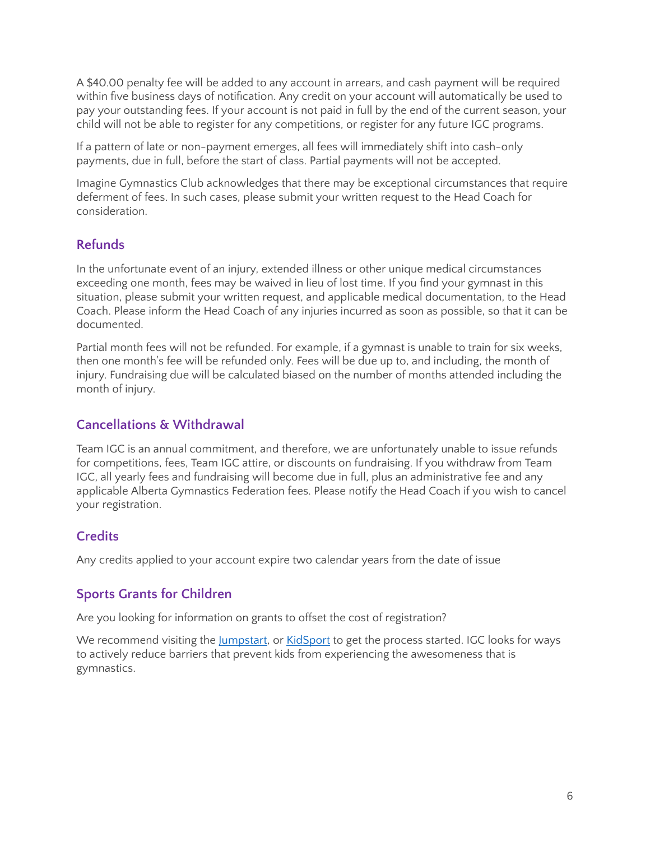A \$40.00 penalty fee will be added to any account in arrears, and cash payment will be required within five business days of notification. Any credit on your account will automatically be used to pay your outstanding fees. If your account is not paid in full by the end of the current season, your child will not be able to register for any competitions, or register for any future IGC programs.

If a pattern of late or non-payment emerges, all fees will immediately shift into cash-only payments, due in full, before the start of class. Partial payments will not be accepted.

Imagine Gymnastics Club acknowledges that there may be exceptional circumstances that require deferment of fees. In such cases, please submit your written request to the Head Coach for consideration.

## **Refunds**

In the unfortunate event of an injury, extended illness or other unique medical circumstances exceeding one month, fees may be waived in lieu of lost time. If you find your gymnast in this situation, please submit your written request, and applicable medical documentation, to the Head Coach. Please inform the Head Coach of any injuries incurred as soon as possible, so that it can be documented.

Partial month fees will not be refunded. For example, if a gymnast is unable to train for six weeks, then one month's fee will be refunded only. Fees will be due up to, and including, the month of injury. Fundraising due will be calculated biased on the number of months attended including the month of injury.

## **Cancellations & Withdrawal**

Team IGC is an annual commitment, and therefore, we are unfortunately unable to issue refunds for competitions, fees, Team IGC attire, or discounts on fundraising. If you withdraw from Team IGC, all yearly fees and fundraising will become due in full, plus an administrative fee and any applicable Alberta Gymnastics Federation fees. Please notify the Head Coach if you wish to cancel your registration.

## **Credits**

Any credits applied to your account expire two calendar years from the date of issue

## **Sports Grants for Children**

Are you looking for information on grants to offset the cost of registration?

We recommend visiting the [Jumpstart,](https://jumpstart.canadiantire.ca/pages/individual-child-grant-guidelines) or [KidSport](http://www.kidsportcanada.ca/alberta/alberta-provincial-fund/apply-for-assistance/) to get the process started. IGC looks for ways to actively reduce barriers that prevent kids from experiencing the awesomeness that is gymnastics.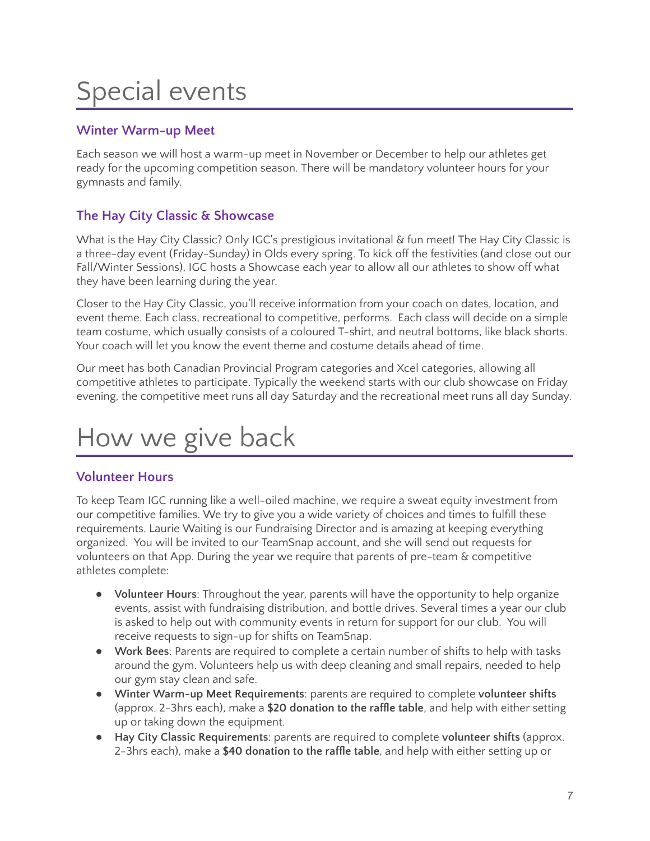# Special events

## **Winter Warm-up Meet**

Each season we will host a warm-up meet in November or December to help our athletes get ready for the upcoming competition season. There will be mandatory volunteer hours for your gymnasts and family.

## **The Hay City Classic & Showcase**

What is the Hay City Classic? Only IGC's prestigious invitational & fun meet! The Hay City Classic is a three-day event (Friday-Sunday) in Olds every spring. To kick off the festivities (and close out our Fall/Winter Sessions), IGC hosts a Showcase each year to allow all our athletes to show off what they have been learning during the year.

Closer to the Hay City Classic, you'll receive information from your coach on dates, location, and event theme. Each class, recreational to competitive, performs. Each class will decide on a simple team costume, which usually consists of a coloured T-shirt, and neutral bottoms, like black shorts. Your coach will let you know the event theme and costume details ahead of time.

Our meet has both Canadian Provincial Program categories and Xcel categories, allowing all competitive athletes to participate. Typically the weekend starts with our club showcase on Friday evening, the competitive meet runs all day Saturday and the recreational meet runs all day Sunday.

# How we give back

## **Volunteer Hours**

To keep Team IGC running like a well-oiled machine, we require a sweat equity investment from our competitive families. We try to give you a wide variety of choices and times to fulfill these requirements. Laurie Waiting is our Fundraising Director and is amazing at keeping everything organized. You will be invited to our TeamSnap account, and she will send out requests for volunteers on that App. During the year we require that parents of pre-team & competitive athletes complete:

- **Volunteer Hours**: Throughout the year, parents will have the opportunity to help organize events, assist with fundraising distribution, and bottle drives. Several times a year our club is asked to help out with community events in return for support for our club. You will receive requests to sign-up for shifts on TeamSnap.
- **Work Bees**: Parents are required to complete a certain number of shifts to help with tasks around the gym. Volunteers help us with deep cleaning and small repairs, needed to help our gym stay clean and safe.
- **Winter Warm-up Meet Requirements**: parents are required to complete **volunteer shifts** (approx. 2-3hrs each), make a **\$20 donation to the raffle table**, and help with either setting up or taking down the equipment.
- **Hay City Classic Requirements**: parents are required to complete **volunteer shifts** (approx. 2-3hrs each), make a **\$40 donation to the raffle table**, and help with either setting up or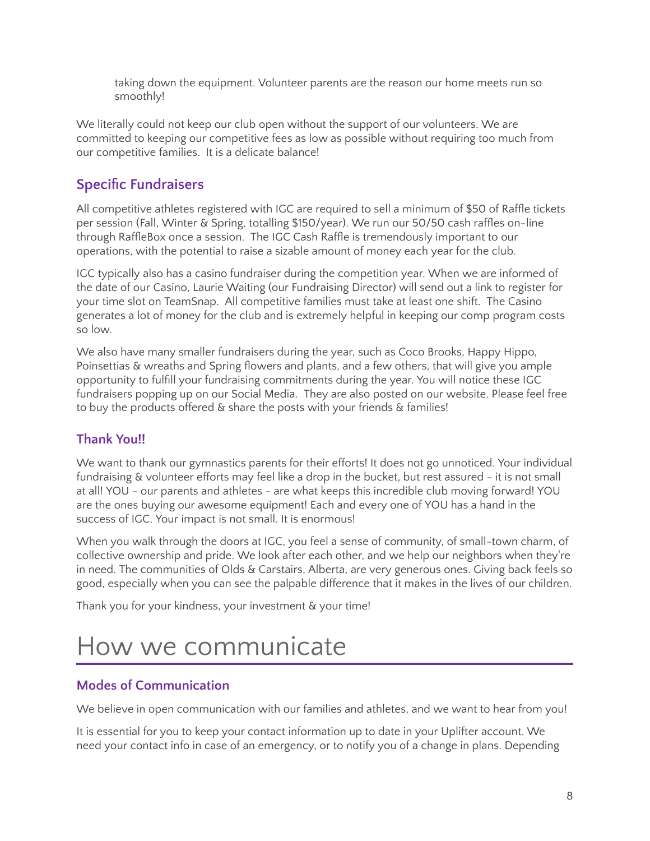taking down the equipment. Volunteer parents are the reason our home meets run so smoothly!

We literally could not keep our club open without the support of our volunteers. We are committed to keeping our competitive fees as low as possible without requiring too much from our competitive families. It is a delicate balance!

## **Specific Fundraisers**

All competitive athletes registered with IGC are required to sell a minimum of \$50 of Raffle tickets per session (Fall, Winter & Spring, totalling \$150/year). We run our 50/50 cash raffles on-line through RaffleBox once a session. The IGC Cash Raffle is tremendously important to our operations, with the potential to raise a sizable amount of money each year for the club.

IGC typically also has a casino fundraiser during the competition year. When we are informed of the date of our Casino, Laurie Waiting (our Fundraising Director) will send out a link to register for your time slot on TeamSnap. All competitive families must take at least one shift. The Casino generates a lot of money for the club and is extremely helpful in keeping our comp program costs so low.

We also have many smaller fundraisers during the year, such as Coco Brooks, Happy Hippo, Poinsettias & wreaths and Spring flowers and plants, and a few others, that will give you ample opportunity to fulfill your fundraising commitments during the year. You will notice these IGC fundraisers popping up on our Social Media. They are also posted on our website. Please feel free to buy the products offered & share the posts with your friends & families!

## **Thank You!!**

We want to thank our gymnastics parents for their efforts! It does not go unnoticed. Your individual fundraising & volunteer efforts may feel like a drop in the bucket, but rest assured - it is not small at all! YOU - our parents and athletes - are what keeps this incredible club moving forward! YOU are the ones buying our awesome equipment! Each and every one of YOU has a hand in the success of IGC. Your impact is not small. It is enormous!

When you walk through the doors at IGC, you feel a sense of community, of small-town charm, of collective ownership and pride. We look after each other, and we help our neighbors when they're in need. The communities of Olds & Carstairs, Alberta, are very generous ones. Giving back feels so good, especially when you can see the palpable difference that it makes in the lives of our children.

Thank you for your kindness, your investment & your time!

## How we communicate

## **Modes of Communication**

We believe in open communication with our families and athletes, and we want to hear from you!

It is essential for you to keep your contact information up to date in your Uplifter account. We need your contact info in case of an emergency, or to notify you of a change in plans. Depending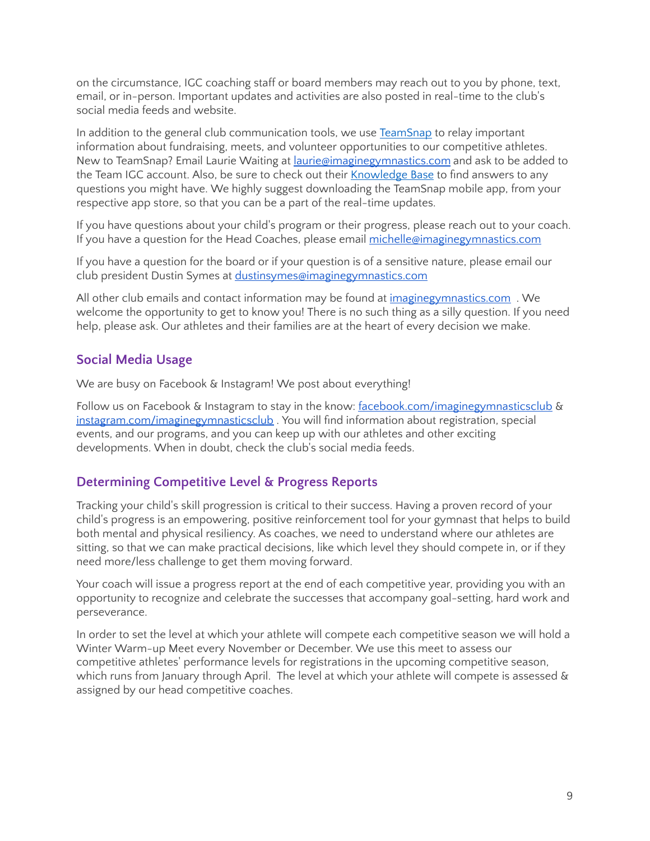on the circumstance, IGC coaching staff or board members may reach out to you by phone, text, email, or in-person. Important updates and activities are also posted in real-time to the club's social media feeds and website.

In addition to the general club communication tools, we use [TeamSnap](https://www.teamsnap.com/teams/features) to relay important information about fundraising, meets, and volunteer opportunities to our competitive athletes. New to TeamSnap? Email Laurie Waiting at *[laurie@imaginegymnastics.com](mailto:laurie@imaginegymnastics.com)* and ask to be added to the Team IGC account. Also, be sure to check out their [Knowledge](https://helpme.teamsnap.com/) Base to find answers to any questions you might have. We highly suggest downloading the TeamSnap mobile app, from your respective app store, so that you can be a part of the real-time updates.

If you have questions about your child's program or their progress, please reach out to your coach. If you have a question for the Head Coaches, please email [michelle@imaginegymnastics.com](mailto:info@imaginegymnastics.com)

If you have a question for the board or if your question is of a sensitive nature, please email our club president Dustin Symes at [dustinsymes@imaginegymnastics.com](mailto:dustinsymes@imaginegymnastics.com)

All other club emails and contact information may be found at *[imaginegymnastics.com](https://www.imaginegymnastics.com/)*. We welcome the opportunity to get to know you! There is no such thing as a silly question. If you need help, please ask. Our athletes and their families are at the heart of every decision we make.

## **Social Media Usage**

We are busy on Facebook & Instagram! We post about everything!

Follow us on Facebook & Instagram to stay in the know: [facebook.com/imaginegymnasticsclub](https://www.facebook.com/imaginegymnasticsclub) & [instagram.com/imaginegymnasticsclub](https://www.instagram.com/imaginegymnasticsclub/). You will find information about registration, special events, and our programs, and you can keep up with our athletes and other exciting developments. When in doubt, check the club's social media feeds.

## **Determining Competitive Level & Progress Reports**

Tracking your child's skill progression is critical to their success. Having a proven record of your child's progress is an empowering, positive reinforcement tool for your gymnast that helps to build both mental and physical resiliency. As coaches, we need to understand where our athletes are sitting, so that we can make practical decisions, like which level they should compete in, or if they need more/less challenge to get them moving forward.

Your coach will issue a progress report at the end of each competitive year, providing you with an opportunity to recognize and celebrate the successes that accompany goal-setting, hard work and perseverance.

In order to set the level at which your athlete will compete each competitive season we will hold a Winter Warm-up Meet every November or December. We use this meet to assess our competitive athletes' performance levels for registrations in the upcoming competitive season, which runs from January through April. The level at which your athlete will compete is assessed & assigned by our head competitive coaches.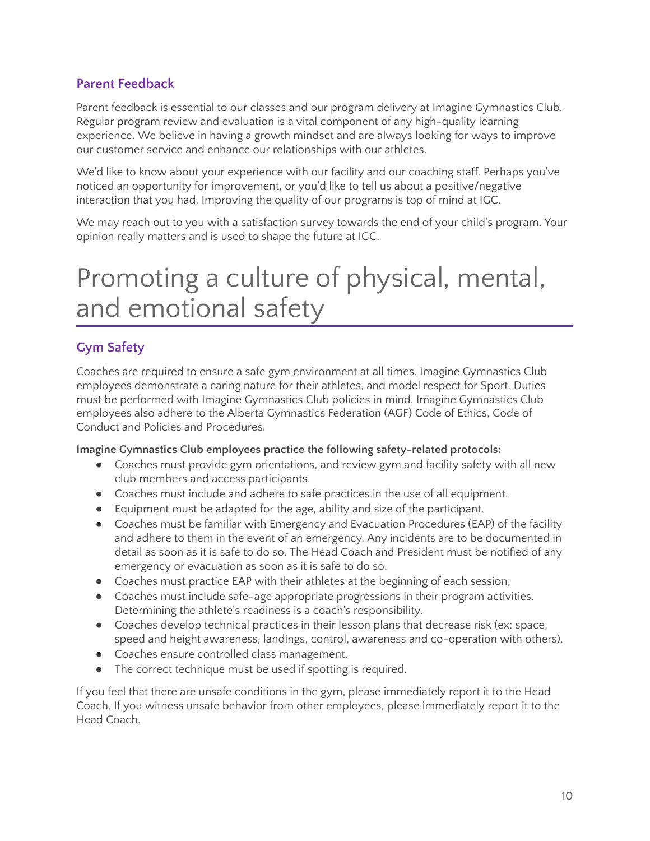## **Parent Feedback**

Parent feedback is essential to our classes and our program delivery at Imagine Gymnastics Club. Regular program review and evaluation is a vital component of any high-quality learning experience. We believe in having a growth mindset and are always looking for ways to improve our customer service and enhance our relationships with our athletes.

We'd like to know about your experience with our facility and our coaching staff. Perhaps you've noticed an opportunity for improvement, or you'd like to tell us about a positive/negative interaction that you had. Improving the quality of our programs is top of mind at IGC.

We may reach out to you with a satisfaction survey towards the end of your child's program. Your opinion really matters and is used to shape the future at IGC.

## Promoting a culture of physical, mental, and emotional safety

## **Gym Safety**

Coaches are required to ensure a safe gym environment at all times. Imagine Gymnastics Club employees demonstrate a caring nature for their athletes, and model respect for Sport. Duties must be performed with Imagine Gymnastics Club policies in mind. Imagine Gymnastics Club employees also adhere to the Alberta Gymnastics Federation (AGF) Code of Ethics, Code of Conduct and Policies and Procedures.

#### **Imagine Gymnastics Club employees practice the following safety-related protocols:**

- Coaches must provide gym orientations, and review gym and facility safety with all new club members and access participants.
- Coaches must include and adhere to safe practices in the use of all equipment.
- Equipment must be adapted for the age, ability and size of the participant.
- Coaches must be familiar with Emergency and Evacuation Procedures (EAP) of the facility and adhere to them in the event of an emergency. Any incidents are to be documented in detail as soon as it is safe to do so. The Head Coach and President must be notified of any emergency or evacuation as soon as it is safe to do so.
- Coaches must practice EAP with their athletes at the beginning of each session;
- Coaches must include safe-age appropriate progressions in their program activities. Determining the athlete's readiness is a coach's responsibility.
- Coaches develop technical practices in their lesson plans that decrease risk (ex: space, speed and height awareness, landings, control, awareness and co-operation with others).
- Coaches ensure controlled class management.
- The correct technique must be used if spotting is required.

If you feel that there are unsafe conditions in the gym, please immediately report it to the Head Coach. If you witness unsafe behavior from other employees, please immediately report it to the Head Coach.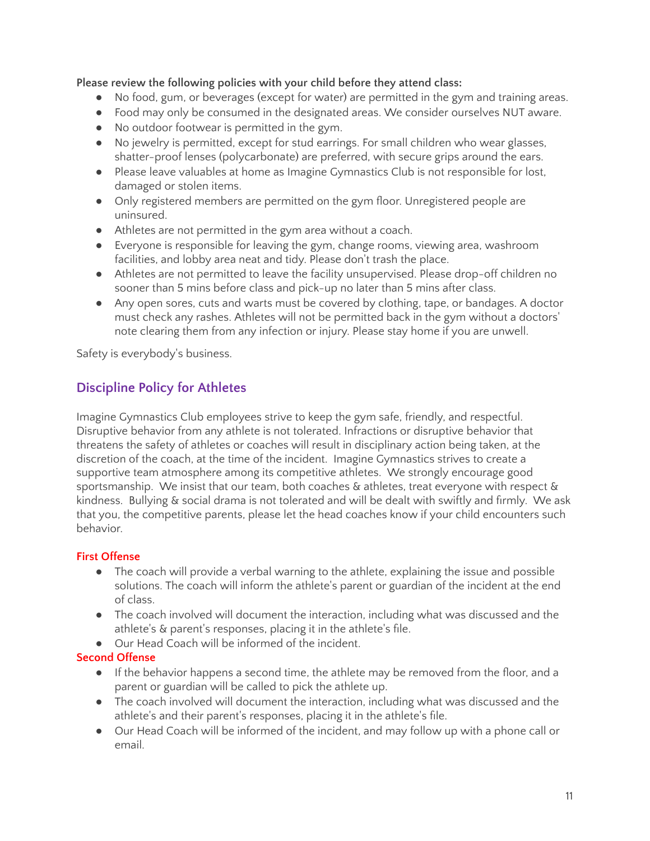**Please review the following policies with your child before they attend class:**

- No food, gum, or beverages (except for water) are permitted in the gym and training areas.
- Food may only be consumed in the designated areas. We consider ourselves NUT aware.
- No outdoor footwear is permitted in the gym.
- No jewelry is permitted, except for stud earrings. For small children who wear glasses, shatter-proof lenses (polycarbonate) are preferred, with secure grips around the ears.
- Please leave valuables at home as Imagine Gymnastics Club is not responsible for lost, damaged or stolen items.
- Only registered members are permitted on the gym floor. Unregistered people are uninsured.
- Athletes are not permitted in the gym area without a coach.
- Everyone is responsible for leaving the gym, change rooms, viewing area, washroom facilities, and lobby area neat and tidy. Please don't trash the place.
- Athletes are not permitted to leave the facility unsupervised. Please drop-off children no sooner than 5 mins before class and pick-up no later than 5 mins after class.
- Any open sores, cuts and warts must be covered by clothing, tape, or bandages. A doctor must check any rashes. Athletes will not be permitted back in the gym without a doctors' note clearing them from any infection or injury. Please stay home if you are unwell.

Safety is everybody's business.

## **Discipline Policy for Athletes**

Imagine Gymnastics Club employees strive to keep the gym safe, friendly, and respectful. Disruptive behavior from any athlete is not tolerated. Infractions or disruptive behavior that threatens the safety of athletes or coaches will result in disciplinary action being taken, at the discretion of the coach, at the time of the incident. Imagine Gymnastics strives to create a supportive team atmosphere among its competitive athletes. We strongly encourage good sportsmanship. We insist that our team, both coaches & athletes, treat everyone with respect & kindness. Bullying & social drama is not tolerated and will be dealt with swiftly and firmly. We ask that you, the competitive parents, please let the head coaches know if your child encounters such behavior.

#### **First Offense**

- The coach will provide a verbal warning to the athlete, explaining the issue and possible solutions. The coach will inform the athlete's parent or guardian of the incident at the end of class.
- The coach involved will document the interaction, including what was discussed and the athlete's & parent's responses, placing it in the athlete's file.
- Our Head Coach will be informed of the incident.

## **Second Offense**

- If the behavior happens a second time, the athlete may be removed from the floor, and a parent or guardian will be called to pick the athlete up.
- The coach involved will document the interaction, including what was discussed and the athlete's and their parent's responses, placing it in the athlete's file.
- Our Head Coach will be informed of the incident, and may follow up with a phone call or email.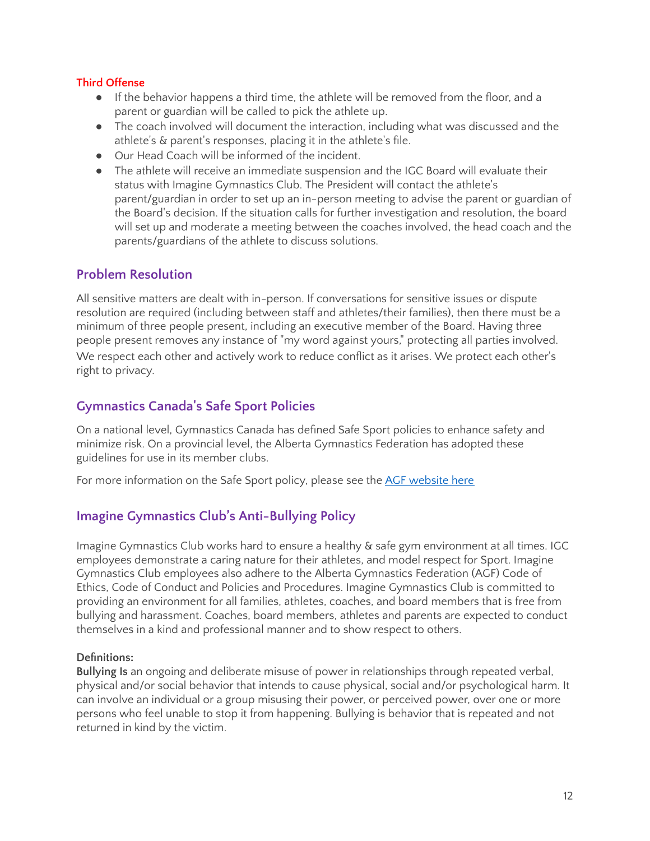#### **Third Offense**

- If the behavior happens a third time, the athlete will be removed from the floor, and a parent or guardian will be called to pick the athlete up.
- The coach involved will document the interaction, including what was discussed and the athlete's & parent's responses, placing it in the athlete's file.
- Our Head Coach will be informed of the incident.
- The athlete will receive an immediate suspension and the IGC Board will evaluate their status with Imagine Gymnastics Club. The President will contact the athlete's parent/guardian in order to set up an in-person meeting to advise the parent or guardian of the Board's decision. If the situation calls for further investigation and resolution, the board will set up and moderate a meeting between the coaches involved, the head coach and the parents/guardians of the athlete to discuss solutions.

## **Problem Resolution**

All sensitive matters are dealt with in-person. If conversations for sensitive issues or dispute resolution are required (including between staff and athletes/their families), then there must be a minimum of three people present, including an executive member of the Board. Having three people present removes any instance of "my word against yours," protecting all parties involved. We respect each other and actively work to reduce conflict as it arises. We protect each other's right to privacy.

## **Gymnastics Canada's Safe Sport Policies**

On a national level, Gymnastics Canada has defined Safe Sport policies to enhance safety and minimize risk. On a provincial level, the Alberta Gymnastics Federation has adopted these guidelines for use in its member clubs.

For more information on the Safe Sport policy, please see the AGF [website](https://www.abgym.ab.ca/Safe-Sport/AGF-Resources) here

## **Imagine Gymnastics Club's Anti-Bullying Policy**

Imagine Gymnastics Club works hard to ensure a healthy & safe gym environment at all times. IGC employees demonstrate a caring nature for their athletes, and model respect for Sport. Imagine Gymnastics Club employees also adhere to the Alberta Gymnastics Federation (AGF) Code of Ethics, Code of Conduct and Policies and Procedures. Imagine Gymnastics Club is committed to providing an environment for all families, athletes, coaches, and board members that is free from bullying and harassment. Coaches, board members, athletes and parents are expected to conduct themselves in a kind and professional manner and to show respect to others.

#### **Definitions:**

**Bullying Is** an ongoing and deliberate misuse of power in relationships through repeated verbal, physical and/or social behavior that intends to cause physical, social and/or psychological harm. It can involve an individual or a group misusing their power, or perceived power, over one or more persons who feel unable to stop it from happening. Bullying is behavior that is repeated and not returned in kind by the victim.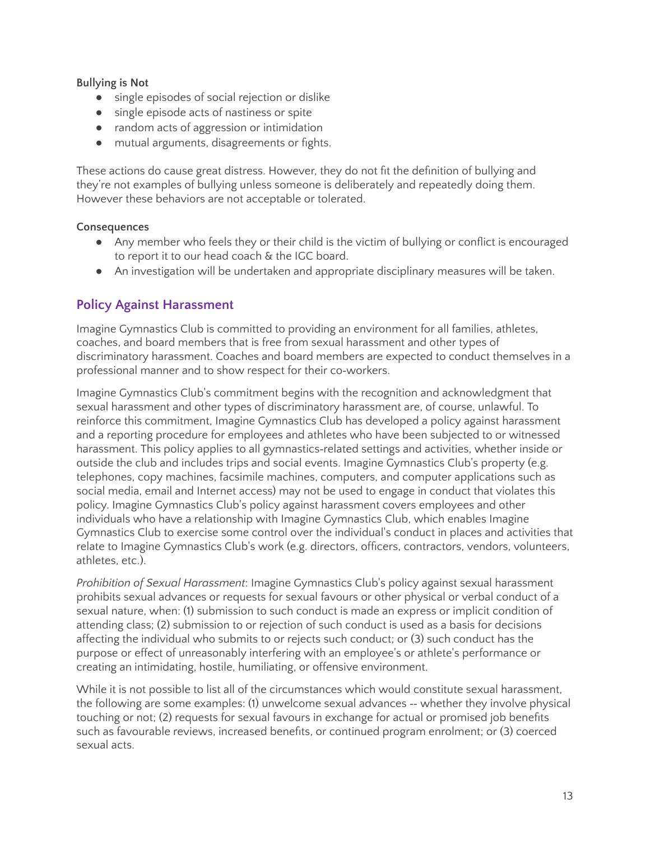#### **Bullying is Not**

- single episodes of social rejection or dislike
- single episode acts of nastiness or spite
- random acts of aggression or intimidation
- mutual arguments, disagreements or fights.

These actions do cause great distress. However, they do not fit the definition of bullying and they're not examples of bullying unless someone is deliberately and repeatedly doing them. However these behaviors are not acceptable or tolerated.

#### **Consequences**

- Any member who feels they or their child is the victim of bullying or conflict is encouraged to report it to our head coach & the IGC board.
- An investigation will be undertaken and appropriate disciplinary measures will be taken.

## **Policy Against Harassment**

Imagine Gymnastics Club is committed to providing an environment for all families, athletes, coaches, and board members that is free from sexual harassment and other types of discriminatory harassment. Coaches and board members are expected to conduct themselves in a professional manner and to show respect for their co-workers.

Imagine Gymnastics Club's commitment begins with the recognition and acknowledgment that sexual harassment and other types of discriminatory harassment are, of course, unlawful. To reinforce this commitment, Imagine Gymnastics Club has developed a policy against harassment and a reporting procedure for employees and athletes who have been subjected to or witnessed harassment. This policy applies to all gymnastics-related settings and activities, whether inside or outside the club and includes trips and social events. Imagine Gymnastics Club's property (e.g. telephones, copy machines, facsimile machines, computers, and computer applications such as social media, email and Internet access) may not be used to engage in conduct that violates this policy. Imagine Gymnastics Club's policy against harassment covers employees and other individuals who have a relationship with Imagine Gymnastics Club, which enables Imagine Gymnastics Club to exercise some control over the individual's conduct in places and activities that relate to Imagine Gymnastics Club's work (e.g. directors, officers, contractors, vendors, volunteers, athletes, etc.).

*Prohibition of Sexual Harassment*: Imagine Gymnastics Club's policy against sexual harassment prohibits sexual advances or requests for sexual favours or other physical or verbal conduct of a sexual nature, when: (1) submission to such conduct is made an express or implicit condition of attending class; (2) submission to or rejection of such conduct is used as a basis for decisions affecting the individual who submits to or rejects such conduct; or (3) such conduct has the purpose or effect of unreasonably interfering with an employee's or athlete's performance or creating an intimidating, hostile, humiliating, or offensive environment.

While it is not possible to list all of the circumstances which would constitute sexual harassment, the following are some examples: (1) unwelcome sexual advances ‐‐ whether they involve physical touching or not; (2) requests for sexual favours in exchange for actual or promised job benefits such as favourable reviews, increased benefits, or continued program enrolment; or (3) coerced sexual acts.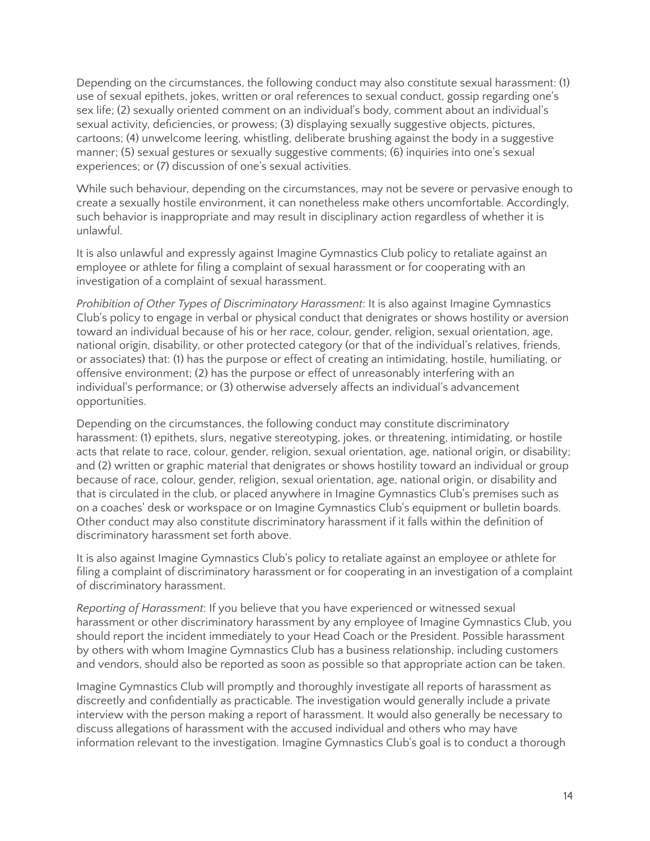Depending on the circumstances, the following conduct may also constitute sexual harassment: (1) use of sexual epithets, jokes, written or oral references to sexual conduct, gossip regarding one's sex life; (2) sexually oriented comment on an individual's body, comment about an individual's sexual activity, deficiencies, or prowess; (3) displaying sexually suggestive objects, pictures, cartoons; (4) unwelcome leering, whistling, deliberate brushing against the body in a suggestive manner; (5) sexual gestures or sexually suggestive comments; (6) inquiries into one's sexual experiences; or (7) discussion of one's sexual activities.

While such behaviour, depending on the circumstances, may not be severe or pervasive enough to create a sexually hostile environment, it can nonetheless make others uncomfortable. Accordingly, such behavior is inappropriate and may result in disciplinary action regardless of whether it is unlawful.

It is also unlawful and expressly against Imagine Gymnastics Club policy to retaliate against an employee or athlete for filing a complaint of sexual harassment or for cooperating with an investigation of a complaint of sexual harassment.

*Prohibition of Other Types of Discriminatory Harassment*: It is also against Imagine Gymnastics Club's policy to engage in verbal or physical conduct that denigrates or shows hostility or aversion toward an individual because of his or her race, colour, gender, religion, sexual orientation, age, national origin, disability, or other protected category (or that of the individual's relatives, friends, or associates) that: (1) has the purpose or effect of creating an intimidating, hostile, humiliating, or offensive environment; (2) has the purpose or effect of unreasonably interfering with an individual's performance; or (3) otherwise adversely affects an individual's advancement opportunities.

Depending on the circumstances, the following conduct may constitute discriminatory harassment: (1) epithets, slurs, negative stereotyping, jokes, or threatening, intimidating, or hostile acts that relate to race, colour, gender, religion, sexual orientation, age, national origin, or disability; and (2) written or graphic material that denigrates or shows hostility toward an individual or group because of race, colour, gender, religion, sexual orientation, age, national origin, or disability and that is circulated in the club, or placed anywhere in Imagine Gymnastics Club's premises such as on a coaches' desk or workspace or on Imagine Gymnastics Club's equipment or bulletin boards. Other conduct may also constitute discriminatory harassment if it falls within the definition of discriminatory harassment set forth above.

It is also against Imagine Gymnastics Club's policy to retaliate against an employee or athlete for filing a complaint of discriminatory harassment or for cooperating in an investigation of a complaint of discriminatory harassment.

*Reporting of Harassment*: If you believe that you have experienced or witnessed sexual harassment or other discriminatory harassment by any employee of Imagine Gymnastics Club, you should report the incident immediately to your Head Coach or the President. Possible harassment by others with whom Imagine Gymnastics Club has a business relationship, including customers and vendors, should also be reported as soon as possible so that appropriate action can be taken.

Imagine Gymnastics Club will promptly and thoroughly investigate all reports of harassment as discreetly and confidentially as practicable. The investigation would generally include a private interview with the person making a report of harassment. It would also generally be necessary to discuss allegations of harassment with the accused individual and others who may have information relevant to the investigation. Imagine Gymnastics Club's goal is to conduct a thorough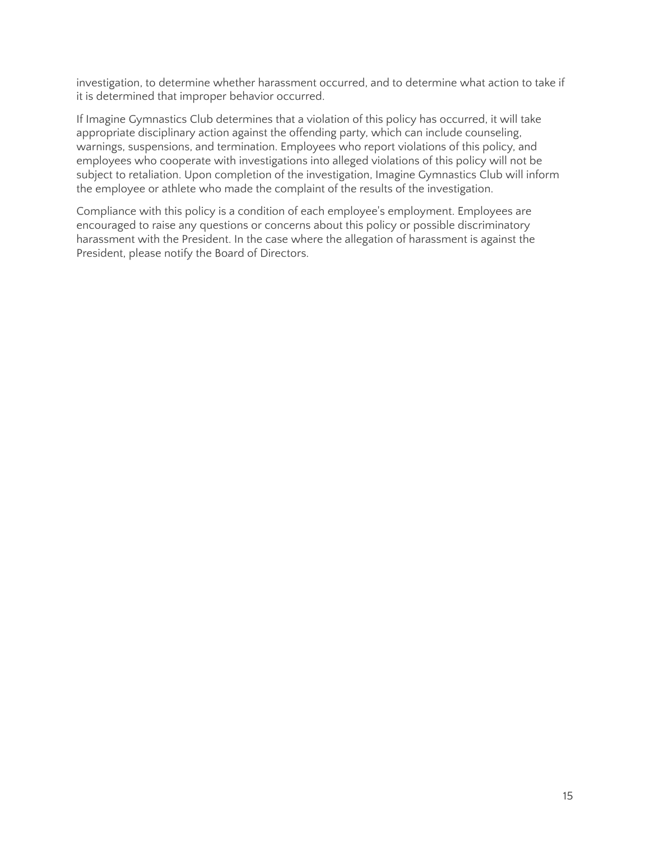investigation, to determine whether harassment occurred, and to determine what action to take if it is determined that improper behavior occurred.

If Imagine Gymnastics Club determines that a violation of this policy has occurred, it will take appropriate disciplinary action against the offending party, which can include counseling, warnings, suspensions, and termination. Employees who report violations of this policy, and employees who cooperate with investigations into alleged violations of this policy will not be subject to retaliation. Upon completion of the investigation, Imagine Gymnastics Club will inform the employee or athlete who made the complaint of the results of the investigation.

Compliance with this policy is a condition of each employee's employment. Employees are encouraged to raise any questions or concerns about this policy or possible discriminatory harassment with the President. In the case where the allegation of harassment is against the President, please notify the Board of Directors.